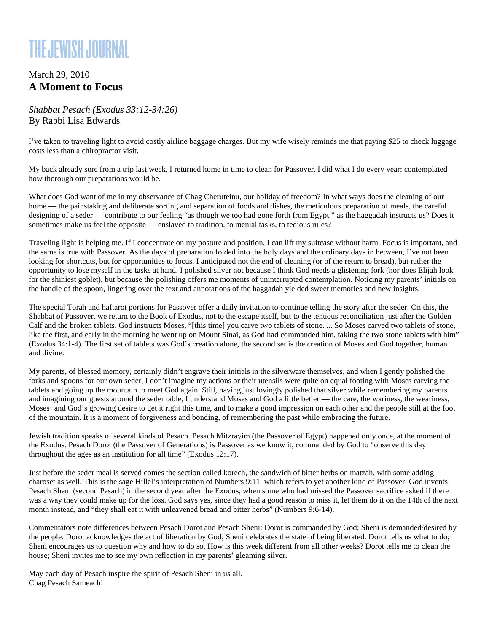## **THE JEWISH JOURNAL**

## March 29, 2010 **A Moment to Focus**

*Shabbat Pesach (Exodus 33:12-34:26)* By Rabbi Lisa Edwards

I've taken to traveling light to avoid costly airline baggage charges. But my wife wisely reminds me that paying \$25 to check luggage costs less than a chiropractor visit.

My back already sore from a trip last week, I returned home in time to clean for Passover. I did what I do every year: contemplated how thorough our preparations would be.

What does God want of me in my observance of Chag Cheruteinu, our holiday of freedom? In what ways does the cleaning of our home — the painstaking and deliberate sorting and separation of foods and dishes, the meticulous preparation of meals, the careful designing of a seder — contribute to our feeling "as though we too had gone forth from Egypt," as the haggadah instructs us? Does it sometimes make us feel the opposite — enslaved to tradition, to menial tasks, to tedious rules?

Traveling light is helping me. If I concentrate on my posture and position, I can lift my suitcase without harm. Focus is important, and the same is true with Passover. As the days of preparation folded into the holy days and the ordinary days in between, I've not been looking for shortcuts, but for opportunities to focus. I anticipated not the end of cleaning (or of the return to bread), but rather the opportunity to lose myself in the tasks at hand. I polished silver not because I think God needs a glistening fork (nor does Elijah look for the shiniest goblet), but because the polishing offers me moments of uninterrupted contemplation. Noticing my parents' initials on the handle of the spoon, lingering over the text and annotations of the haggadah yielded sweet memories and new insights.

The special Torah and haftarot portions for Passover offer a daily invitation to continue telling the story after the seder. On this, the Shabbat of Passover, we return to the Book of Exodus, not to the escape itself, but to the tenuous reconciliation just after the Golden Calf and the broken tablets. God instructs Moses, "[this time] you carve two tablets of stone. ... So Moses carved two tablets of stone, like the first, and early in the morning he went up on Mount Sinai, as God had commanded him, taking the two stone tablets with him" (Exodus 34:1-4). The first set of tablets was God's creation alone, the second set is the creation of Moses and God together, human and divine.

My parents, of blessed memory, certainly didn't engrave their initials in the silverware themselves, and when I gently polished the forks and spoons for our own seder, I don't imagine my actions or their utensils were quite on equal footing with Moses carving the tablets and going up the mountain to meet God again. Still, having just lovingly polished that silver while remembering my parents and imagining our guests around the seder table, I understand Moses and God a little better — the care, the wariness, the weariness, Moses' and God's growing desire to get it right this time, and to make a good impression on each other and the people still at the foot of the mountain. It is a moment of forgiveness and bonding, of remembering the past while embracing the future.

Jewish tradition speaks of several kinds of Pesach. Pesach Mitzrayim (the Passover of Egypt) happened only once, at the moment of the Exodus. Pesach Dorot (the Passover of Generations) is Passover as we know it, commanded by God to "observe this day throughout the ages as an institution for all time" (Exodus 12:17).

Just before the seder meal is served comes the section called korech, the sandwich of bitter herbs on matzah, with some adding charoset as well. This is the sage Hillel's interpretation of Numbers 9:11, which refers to yet another kind of Passover. God invents Pesach Sheni (second Pesach) in the second year after the Exodus, when some who had missed the Passover sacrifice asked if there was a way they could make up for the loss. God says yes, since they had a good reason to miss it, let them do it on the 14th of the next month instead, and "they shall eat it with unleavened bread and bitter herbs" (Numbers 9:6-14).

Commentators note differences between Pesach Dorot and Pesach Sheni: Dorot is commanded by God; Sheni is demanded/desired by the people. Dorot acknowledges the act of liberation by God; Sheni celebrates the state of being liberated. Dorot tells us what to do; Sheni encourages us to question why and how to do so. How is this week different from all other weeks? Dorot tells me to clean the house; Sheni invites me to see my own reflection in my parents' gleaming silver.

May each day of Pesach inspire the spirit of Pesach Sheni in us all. Chag Pesach Sameach!